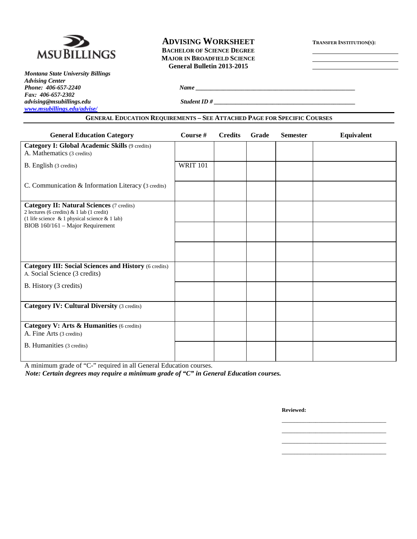

*Montana State University Billings Advising Center Fax: 406-657-2302 [www.msubillings.edu/advise/](http://www.msubillings.edu/advise/)*

# **ADVISING WORKSHEET TRANSFER INSTITUTION(S): BACHELOR OF SCIENCE DEGREE MAJOR IN BROADFIELD SCIENCE General Bulletin 2013-2015**

*Phone: 406-657-2240 Name \_\_\_\_\_\_\_\_\_\_\_\_\_\_\_\_\_\_\_\_\_\_\_\_\_\_\_\_\_\_\_\_\_\_\_\_\_\_\_\_\_\_\_\_\_\_\_\_\_\_\_\_*

*advising@msubillings.edu Student ID # \_\_\_\_\_\_\_\_\_\_\_\_\_\_\_\_\_\_\_\_\_\_\_\_\_\_\_\_\_\_\_\_\_\_\_\_\_\_\_\_\_\_\_\_\_\_*

| <b>General Education Category</b>                                                                                                              | Course #        | <b>Credits</b> | Grade | <b>Semester</b> | Equivalent |
|------------------------------------------------------------------------------------------------------------------------------------------------|-----------------|----------------|-------|-----------------|------------|
| Category I: Global Academic Skills (9 credits)<br>A. Mathematics (3 credits)                                                                   |                 |                |       |                 |            |
| B. English (3 credits)                                                                                                                         | <b>WRIT 101</b> |                |       |                 |            |
| C. Communication & Information Literacy (3 credits)                                                                                            |                 |                |       |                 |            |
| <b>Category II: Natural Sciences (7 credits)</b><br>2 lectures (6 credits) & 1 lab (1 credit)<br>(1 life science & 1 physical science & 1 lab) |                 |                |       |                 |            |
| BIOB 160/161 - Major Requirement                                                                                                               |                 |                |       |                 |            |
|                                                                                                                                                |                 |                |       |                 |            |
| <b>Category III: Social Sciences and History (6 credits)</b><br>A. Social Science (3 credits)                                                  |                 |                |       |                 |            |
| B. History (3 credits)                                                                                                                         |                 |                |       |                 |            |
| <b>Category IV: Cultural Diversity (3 credits)</b>                                                                                             |                 |                |       |                 |            |
| Category V: Arts & Humanities (6 credits)<br>A. Fine Arts (3 credits)                                                                          |                 |                |       |                 |            |
| B. Humanities (3 credits)                                                                                                                      |                 |                |       |                 |            |

A minimum grade of "C-" required in all General Education courses.

*Note: Certain degrees may require a minimum grade of "C" in General Education courses.*

**Reviewed:**

\_\_\_\_\_\_\_\_\_\_\_\_\_\_\_\_\_\_\_\_\_\_\_\_\_\_\_\_\_\_\_\_\_\_ \_\_\_\_\_\_\_\_\_\_\_\_\_\_\_\_\_\_\_\_\_\_\_\_\_\_\_\_\_\_\_\_\_\_ \_\_\_\_\_\_\_\_\_\_\_\_\_\_\_\_\_\_\_\_\_\_\_\_\_\_\_\_\_\_\_\_\_\_ \_\_\_\_\_\_\_\_\_\_\_\_\_\_\_\_\_\_\_\_\_\_\_\_\_\_\_\_\_\_\_\_\_\_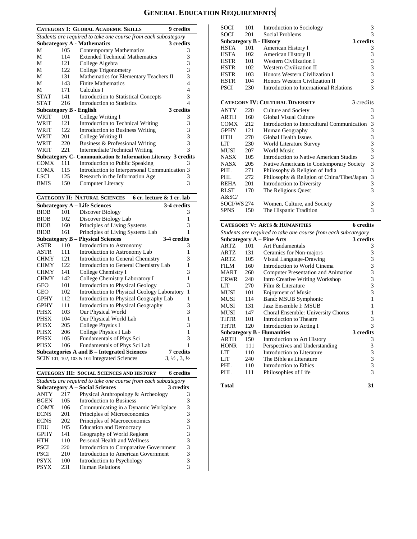# **GENERAL EDUCATION REQUIREMENTS**

|                                |     | <b>CATEGORY I: GLOBAL ACADEMIC SKILLS</b>                         | 9 credits                        |
|--------------------------------|-----|-------------------------------------------------------------------|----------------------------------|
|                                |     | Students are required to take one course from each subcategory    |                                  |
|                                |     | <b>Subcategory A - Mathematics</b>                                | 3 credits                        |
| М                              | 105 | <b>Contemporary Mathematics</b>                                   | 3                                |
| М                              | 114 | <b>Extended Technical Mathematics</b>                             | 3                                |
| М                              | 121 | College Algebra                                                   | 3                                |
| М                              | 122 | College Trigonometry                                              | 3                                |
| М                              | 131 | Mathematics for Elementary Teachers II                            | 3                                |
| М                              | 143 | <b>Finite Mathematics</b>                                         | 4                                |
| M                              | 171 | Calculus I                                                        | 4                                |
| <b>STAT</b>                    | 141 | <b>Introduction to Statistical Concepts</b>                       | 3                                |
| <b>STAT</b>                    | 216 | <b>Introduction to Statistics</b>                                 | 4                                |
| <b>Subcategory B - English</b> |     |                                                                   | 3 credits                        |
| WRIT                           | 101 | College Writing I                                                 | 3                                |
| WRIT                           | 121 | <b>Introduction to Technical Writing</b>                          | 3                                |
| WRIT                           | 122 | <b>Introduction to Business Writing</b>                           | 3                                |
| WRIT                           | 201 | College Writing II                                                | 3                                |
| WRIT                           | 220 | Business & Professional Writing                                   | 3                                |
| WRIT                           | 221 | <b>Intermediate Technical Writing</b>                             | 3                                |
|                                |     | Subcategory C- Communication & Information Literacy 3 credits     |                                  |
| <b>COMX</b>                    | 111 | <b>Introduction to Public Speaking</b>                            | 3                                |
| <b>COMX</b>                    | 115 | Introduction to Interpersonal Communication 3                     |                                  |
| <b>LSCI</b>                    | 125 |                                                                   | 3                                |
|                                |     | Research in the Information Age                                   | 3                                |
| <b>BMIS</b>                    | 150 | Computer Literacy                                                 |                                  |
|                                |     | <b>CATEGORY II: NATURAL SCIENCES</b><br>6 cr. lecture & 1 cr. lab |                                  |
|                                |     | <b>Subcategory A - Life Sciences</b>                              | 3-4 credits                      |
| <b>BIOB</b>                    | 101 | Discover Biology                                                  | 3                                |
| <b>BIOB</b>                    | 102 | Discover Biology Lab                                              | $\mathbf{1}$                     |
| <b>BIOB</b>                    | 160 | Principles of Living Systems                                      | 3                                |
| <b>BIOB</b>                    | 161 | Principles of Living Systems Lab                                  | 1                                |
|                                |     | <b>Subcategory B - Physical Sciences</b>                          | 3-4 credits                      |
| ASTR                           | 110 | Introduction to Astronomy                                         | 3                                |
| <b>ASTR</b>                    | 111 | Introduction to Astronomy Lab                                     | 1                                |
| <b>CHMY</b>                    | 121 | <b>Introduction to General Chemistry</b>                          | 3                                |
| <b>CHMY</b>                    | 122 | Introduction to General Chemistry Lab                             | 1                                |
| <b>CHMY</b>                    | 141 | College Chemistry I                                               | 3                                |
| <b>CHMY</b>                    | 142 | College Chemistry Laboratory I                                    | 1                                |
| GEO                            | 101 | <b>Introduction to Physical Geology</b>                           | 3                                |
| <b>GEO</b>                     | 102 | Introduction to Physical Geology Laboratory                       | 1                                |
| <b>GPHY</b>                    | 112 | Introduction to Physical Geography Lab                            | 1                                |
| <b>GPHY</b>                    | 111 | <b>Introduction to Physical Geography</b>                         | 3                                |
| <b>PHSX</b>                    | 103 | Our Physical World                                                | 3                                |
| <b>PHSX</b>                    | 104 | Our Physical World Lab                                            | 1                                |
| <b>PHSX</b>                    | 205 | College Physics I                                                 | 3                                |
| <b>PHSX</b>                    | 206 | College Physics I Lab                                             | 1                                |
| <b>PHSX</b>                    | 105 | Fundamentals of Phys Sci                                          | 3                                |
| <b>PHSX</b>                    | 106 | Fundamentals of Phys Sci Lab                                      | 1                                |
|                                |     | <b>Subcategories A and B – Integrated Sciences</b>                | <b>7</b> credits                 |
|                                |     | SCIN 101, 102, 103 & 104 Integrated Sciences                      | $3, \frac{1}{2}, 3, \frac{1}{2}$ |
|                                |     |                                                                   |                                  |

**CATEGORY III: SOCIAL SCIENCES AND HISTORY 6 credits**

| Students are required to take one course from each subcategory |                                                     |                                        |   |  |  |  |  |
|----------------------------------------------------------------|-----------------------------------------------------|----------------------------------------|---|--|--|--|--|
|                                                                | <b>Subcategory A – Social Sciences</b><br>3 credits |                                        |   |  |  |  |  |
| <b>ANTY</b>                                                    | 217                                                 | Physical Anthropology & Archeology     | 3 |  |  |  |  |
| <b>BGEN</b>                                                    | 105                                                 | Introduction to Business               | 3 |  |  |  |  |
| <b>COMX</b>                                                    | 106                                                 | Communicating in a Dynamic Workplace   | 3 |  |  |  |  |
| <b>ECNS</b>                                                    | 201                                                 | Principles of Microeconomics           | 3 |  |  |  |  |
| <b>ECNS</b>                                                    | 202                                                 | Principles of Macroeconomics           | 3 |  |  |  |  |
| EDU                                                            | 105                                                 | <b>Education and Democracy</b>         | 3 |  |  |  |  |
| <b>GPHY</b>                                                    | 141                                                 | Geography of World Regions             | 3 |  |  |  |  |
| HTH                                                            | 110                                                 | Personal Health and Wellness           | 3 |  |  |  |  |
| <b>PSCI</b>                                                    | 220                                                 | Introduction to Comparative Government | 3 |  |  |  |  |
| <b>PSCI</b>                                                    | 210                                                 | Introduction to American Government    | 3 |  |  |  |  |
| <b>PSYX</b>                                                    | 100                                                 | Introduction to Psychology             |   |  |  |  |  |
| <b>PSYX</b>                                                    | 231                                                 | Human Relations                        |   |  |  |  |  |

| SOCI | 101 | Introduction to Sociology               |           |
|------|-----|-----------------------------------------|-----------|
| SOCI | 201 | Social Problems                         |           |
|      |     | Subcategory B - History                 | 3 credits |
| HSTA | 101 | American History I                      | 3         |
| HSTA | 102 | American History II                     |           |
| HSTR | 101 | Western Civilization I                  | 3         |
| HSTR | 102 | Western Civilization II                 | 3         |
| HSTR | 103 | Honors Western Civilization I           | 3         |
| HSTR | 104 | Honors Western Civilization II          | 3         |
| PSCI | 230 | Introduction to International Relations | 3         |
|      |     |                                         |           |

|             |     | <b>CATEGORY IV: CULTURAL DIVERSITY</b><br>3 credits |   |
|-------------|-----|-----------------------------------------------------|---|
| <b>ANTY</b> | 220 | Culture and Society                                 | 3 |
| <b>ARTH</b> | 160 | Global Visual Culture                               | 3 |
| <b>COMX</b> | 212 | Introduction to Intercultural Communication         | 3 |
| <b>GPHY</b> | 121 | Human Geography                                     | 3 |
| HTH         | 270 | <b>Global Health Issues</b>                         | 3 |
| LIT         | 230 | World Literature Survey                             | 3 |
| MUSI        | 207 | World Music                                         | 3 |
| <b>NASX</b> | 105 | Introduction to Native American Studies             | 3 |
| <b>NASX</b> | 205 | Native Americans in Contemporary Society            | 3 |
| PHL.        | 271 | Philosophy & Religion of India                      | 3 |
| PHL.        | 272 | Philosophy & Religion of China/Tibet/Japan          | 3 |
| <b>REHA</b> | 201 | Introduction to Diversity                           | 3 |
| <b>RLST</b> | 170 | The Religious Quest                                 | 3 |
| A&SC/       |     |                                                     |   |
| SOCI/WS 274 |     | Women, Culture, and Society                         | 3 |
| SPNS        | 150 | The Hispanic Tradition                              | 3 |

### **CATEGORY V: ARTS & HUMANITIES 6 credits**

| Students are required to take one course from each subcategory |     |                                     |           |  |  |
|----------------------------------------------------------------|-----|-------------------------------------|-----------|--|--|
|                                                                |     | <b>Subcategory A - Fine Arts</b>    | 3 credits |  |  |
| <b>ARTZ</b>                                                    | 101 | Art Fundamentals                    | 3         |  |  |
| ARTZ                                                           | 131 | Ceramics for Non-majors             | 3         |  |  |
| ARTZ                                                           | 105 | Visual Language-Drawing             | 3         |  |  |
| FILM                                                           | 160 | Introduction to World Cinema        | 3         |  |  |
| <b>MART</b>                                                    | 260 | Computer Presentation and Animation | 3         |  |  |
| <b>CRWR</b>                                                    | 240 | Intro Creative Writing Workshop     | 3         |  |  |
| LIT                                                            | 270 | Film & Literature                   | 3         |  |  |
| MUSI                                                           | 101 | <b>Enjoyment of Music</b>           | 3         |  |  |
| MUSI                                                           | 114 | Band: MSUB Symphonic                |           |  |  |
| MUSI                                                           | 131 | Jazz Ensemble I: MSUB               | 1         |  |  |
| <b>MUSI</b>                                                    | 147 | Choral Ensemble: University Chorus  |           |  |  |
| THTR                                                           | 101 | Introduction to Theatre             | 3         |  |  |
| <b>THTR</b>                                                    | 120 | Introduction to Acting I            | 3         |  |  |
|                                                                |     | <b>Subcategory B - Humanities</b>   | 3 credits |  |  |
| <b>ARTH</b>                                                    | 150 | Introduction to Art History         | 3         |  |  |
| <b>HONR</b>                                                    | 111 | Perspectives and Understanding      | 3         |  |  |
| LIT                                                            | 110 | Introduction to Literature          | 3         |  |  |
| LIT                                                            | 240 | The Bible as Literature             | 3         |  |  |
| PHL                                                            | 110 | Introduction to Ethics              | 3         |  |  |
| PHL                                                            | 111 | Philosophies of Life                | 3         |  |  |
|                                                                |     |                                     |           |  |  |

#### **Total 31**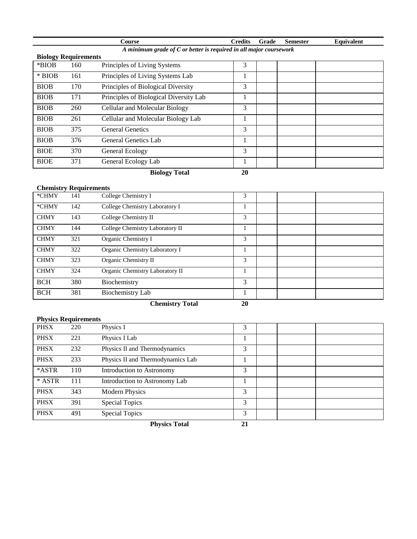|                                                                      |     | Course                                 | <b>Credits</b> | Grade | <b>Semester</b> | Equivalent |  |  |
|----------------------------------------------------------------------|-----|----------------------------------------|----------------|-------|-----------------|------------|--|--|
| A minimum grade of $C$ or better is required in all major coursework |     |                                        |                |       |                 |            |  |  |
| <b>Biology Requirements</b>                                          |     |                                        |                |       |                 |            |  |  |
| *BIOB                                                                | 160 | Principles of Living Systems           | 3              |       |                 |            |  |  |
| $*$ BIOB                                                             | 161 | Principles of Living Systems Lab       | 1              |       |                 |            |  |  |
| <b>BIOB</b>                                                          | 170 | Principles of Biological Diversity     | 3              |       |                 |            |  |  |
| <b>BIOB</b>                                                          | 171 | Principles of Biological Diversity Lab |                |       |                 |            |  |  |
| <b>BIOB</b>                                                          | 260 | <b>Cellular and Molecular Biology</b>  | 3              |       |                 |            |  |  |
| <b>BIOB</b>                                                          | 261 | Cellular and Molecular Biology Lab     | 1              |       |                 |            |  |  |
| <b>BIOB</b>                                                          | 375 | <b>General Genetics</b>                | 3              |       |                 |            |  |  |
| <b>BIOB</b>                                                          | 376 | General Genetics Lab                   | 1              |       |                 |            |  |  |
| <b>BIOE</b>                                                          | 370 | General Ecology                        | 3              |       |                 |            |  |  |
| <b>BIOE</b>                                                          | 371 | General Ecology Lab                    |                |       |                 |            |  |  |
|                                                                      |     | <b>Biology Total</b>                   | 20             |       |                 |            |  |  |

# **Chemistry Requirements**

| *CHMY       | 141 | College Chemistry I                       | 3            |  |
|-------------|-----|-------------------------------------------|--------------|--|
| *CHMY       | 142 | College Chemistry Laboratory I            |              |  |
| <b>CHMY</b> | 143 | College Chemistry II                      | 3            |  |
| <b>CHMY</b> | 144 | College Chemistry Laboratory II           |              |  |
| <b>CHMY</b> | 321 | Organic Chemistry I                       | 3            |  |
| <b>CHMY</b> | 322 | Organic Chemistry Laboratory I            |              |  |
| <b>CHMY</b> | 323 | Organic Chemistry II                      | 3            |  |
| <b>CHMY</b> | 324 | Organic Chemistry Laboratory II           |              |  |
| <b>BCH</b>  | 380 | Biochemistry                              | 3            |  |
| <b>BCH</b>  | 381 | Biochemistry Lab                          |              |  |
|             |     | $\alpha$ , $\alpha$ , $\alpha$ , $\alpha$ | $\mathbf{A}$ |  |

**Chemistry Total 20**

# **Physics Requirements**

|             |     | <b>Physics Total</b>              | 21 |  |
|-------------|-----|-----------------------------------|----|--|
| <b>PHSX</b> | 491 | <b>Special Topics</b>             | 3  |  |
| <b>PHSX</b> | 391 | Special Topics                    | 3  |  |
| <b>PHSX</b> | 343 | <b>Modern Physics</b>             | 3  |  |
| * ASTR      | 111 | Introduction to Astronomy Lab     |    |  |
| *ASTR       | 110 | Introduction to Astronomy         | 3  |  |
| <b>PHSX</b> | 233 | Physics II and Thermodynamics Lab |    |  |
| <b>PHSX</b> | 232 | Physics II and Thermodynamics     | 3  |  |
| <b>PHSX</b> | 221 | Physics I Lab                     |    |  |
| <b>PHSX</b> | 220 | Physics I                         | 3  |  |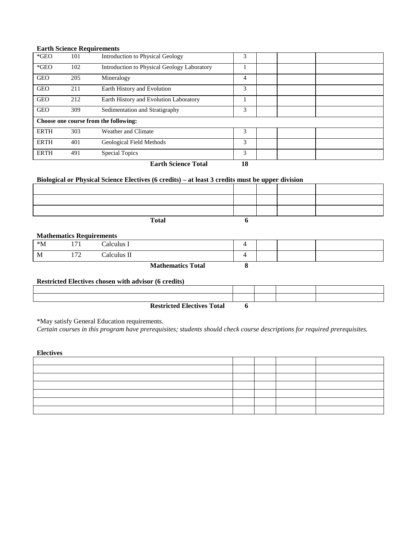### **Earth Science Requirements**

| $*GEO$      | 101 | Introduction to Physical Geology            | 3  |  |
|-------------|-----|---------------------------------------------|----|--|
| $*GEO$      | 102 | Introduction to Physical Geology Laboratory |    |  |
| <b>GEO</b>  | 205 | Mineralogy                                  | 4  |  |
| <b>GEO</b>  | 211 | Earth History and Evolution                 | 3  |  |
| <b>GEO</b>  | 212 | Earth History and Evolution Laboratory      |    |  |
| <b>GEO</b>  | 309 | Sedimentation and Stratigraphy              | 3  |  |
|             |     | Choose one course from the following:       |    |  |
| <b>ERTH</b> | 303 | Weather and Climate                         | 3  |  |
| <b>ERTH</b> | 401 | Geological Field Methods                    | 3  |  |
| <b>ERTH</b> | 491 | Special Topics                              | 3  |  |
|             |     | <b>Earth Science Total</b>                  | 18 |  |

# **Biological or Physical Science Electives (6 credits) – at least 3 credits must be upper division**

| <b>Total</b> |  |  |
|--------------|--|--|

### **Mathematics Requirements**

| $^*M$ | $\overline{\phantom{0}}$ | Calculus I               |  |  |
|-------|--------------------------|--------------------------|--|--|
| M     | 70<br>∸                  | Calculus II              |  |  |
|       |                          | <b>Mathematics Total</b> |  |  |

### **Restricted Electives chosen with advisor (6 credits)**

| <b>Restricted Electives Total</b> |  |  |
|-----------------------------------|--|--|

\*May satisfy General Education requirements.

*Certain courses in this program have prerequisites; students should check course descriptions for required prerequisites.* 

**Electives**